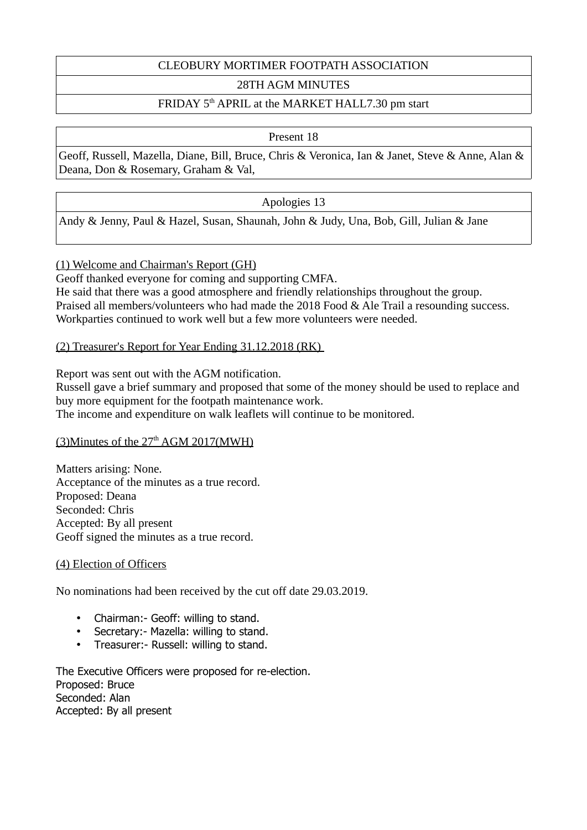# CLEOBURY MORTIMER FOOTPATH ASSOCIATION

# 28TH AGM MINUTES

# FRIDAY 5<sup>th</sup> APRIL at the MARKET HALL7.30 pm start

Present 18

Geoff, Russell, Mazella, Diane, Bill, Bruce, Chris & Veronica, Ian & Janet, Steve & Anne, Alan & Deana, Don & Rosemary, Graham & Val,

### Apologies 13

Andy & Jenny, Paul & Hazel, Susan, Shaunah, John & Judy, Una, Bob, Gill, Julian & Jane

### (1) Welcome and Chairman's Report (GH)

Geoff thanked everyone for coming and supporting CMFA.

He said that there was a good atmosphere and friendly relationships throughout the group. Praised all members/volunteers who had made the 2018 Food & Ale Trail a resounding success. Workparties continued to work well but a few more volunteers were needed.

#### (2) Treasurer's Report for Year Ending 31.12.2018 (RK)

Report was sent out with the AGM notification.

Russell gave a brief summary and proposed that some of the money should be used to replace and buy more equipment for the footpath maintenance work.

The income and expenditure on walk leaflets will continue to be monitored.

#### $(3)$ Minutes of the  $27<sup>th</sup>$  AGM  $2017$ (MWH)

Matters arising: None. Acceptance of the minutes as a true record. Proposed: Deana Seconded: Chris Accepted: By all present Geoff signed the minutes as a true record.

#### (4) Election of Officers

No nominations had been received by the cut off date 29.03.2019.

- Chairman:- Geoff: willing to stand.
- Secretary:- Mazella: willing to stand.
- Treasurer:- Russell: willing to stand.

The Executive Officers were proposed for re-election. Proposed: Bruce Seconded: Alan Accepted: By all present